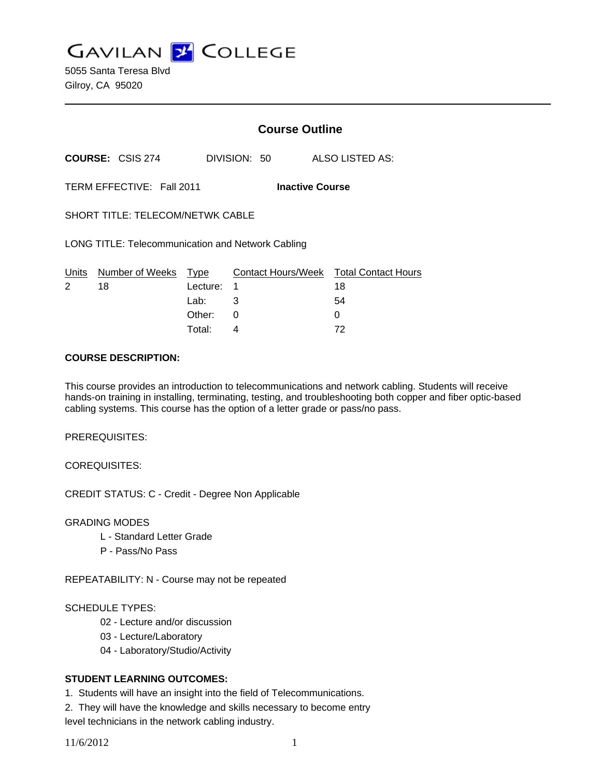**GAVILAN J COLLEGE** 

5055 Santa Teresa Blvd Gilroy, CA 95020

|                                                          |                           |          | <b>Course Outline</b>  |              |  |                                        |  |
|----------------------------------------------------------|---------------------------|----------|------------------------|--------------|--|----------------------------------------|--|
|                                                          | <b>COURSE: CSIS 274</b>   |          |                        | DIVISION: 50 |  | ALSO LISTED AS:                        |  |
|                                                          | TERM EFFECTIVE: Fall 2011 |          | <b>Inactive Course</b> |              |  |                                        |  |
| SHORT TITLE: TELECOM/NETWK CABLE                         |                           |          |                        |              |  |                                        |  |
| <b>LONG TITLE: Telecommunication and Network Cabling</b> |                           |          |                        |              |  |                                        |  |
| Units                                                    | Number of Weeks Type      |          |                        |              |  | Contact Hours/Week Total Contact Hours |  |
| $\overline{2}$                                           | 18                        | Lecture: | 1                      |              |  | 18                                     |  |
|                                                          |                           | Lab:     | 3                      |              |  | 54                                     |  |
|                                                          |                           | Other:   | 0                      |              |  | 0                                      |  |

### **COURSE DESCRIPTION:**

This course provides an introduction to telecommunications and network cabling. Students will receive hands-on training in installing, terminating, testing, and troubleshooting both copper and fiber optic-based cabling systems. This course has the option of a letter grade or pass/no pass.

Total: 4 72

PREREQUISITES:

COREQUISITES:

CREDIT STATUS: C - Credit - Degree Non Applicable

GRADING MODES

- L Standard Letter Grade
- P Pass/No Pass

REPEATABILITY: N - Course may not be repeated

#### SCHEDULE TYPES:

- 02 Lecture and/or discussion
- 03 Lecture/Laboratory
- 04 Laboratory/Studio/Activity

## **STUDENT LEARNING OUTCOMES:**

1. Students will have an insight into the field of Telecommunications.

2. They will have the knowledge and skills necessary to become entry level technicians in the network cabling industry.

11/6/2012 1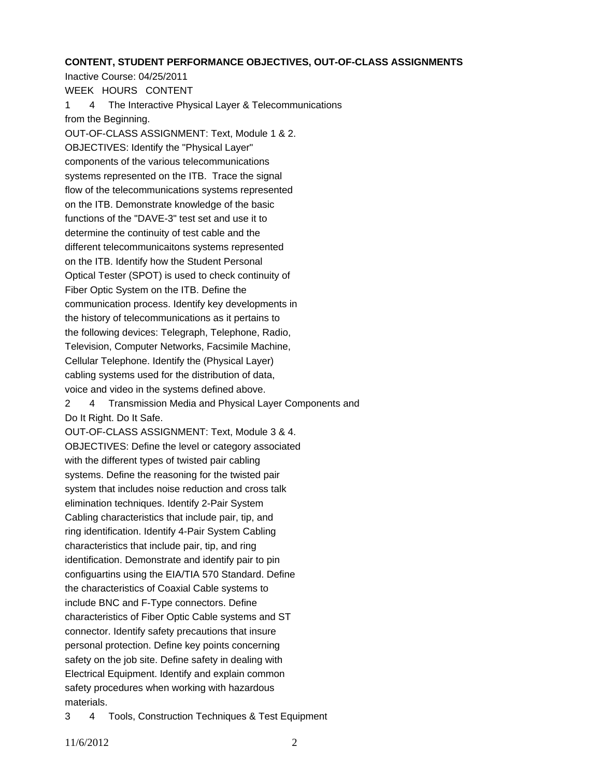#### **CONTENT, STUDENT PERFORMANCE OBJECTIVES, OUT-OF-CLASS ASSIGNMENTS**

Inactive Course: 04/25/2011 WEEK HOURS CONTENT 1 4 The Interactive Physical Layer & Telecommunications from the Beginning. OUT-OF-CLASS ASSIGNMENT: Text, Module 1 & 2. OBJECTIVES: Identify the "Physical Layer" components of the various telecommunications systems represented on the ITB. Trace the signal flow of the telecommunications systems represented on the ITB. Demonstrate knowledge of the basic functions of the "DAVE-3" test set and use it to determine the continuity of test cable and the different telecommunicaitons systems represented on the ITB. Identify how the Student Personal Optical Tester (SPOT) is used to check continuity of Fiber Optic System on the ITB. Define the communication process. Identify key developments in the history of telecommunications as it pertains to the following devices: Telegraph, Telephone, Radio, Television, Computer Networks, Facsimile Machine, Cellular Telephone. Identify the (Physical Layer) cabling systems used for the distribution of data, voice and video in the systems defined above. 2 4 Transmission Media and Physical Layer Components and Do It Right. Do It Safe. OUT-OF-CLASS ASSIGNMENT: Text, Module 3 & 4. OBJECTIVES: Define the level or category associated with the different types of twisted pair cabling systems. Define the reasoning for the twisted pair system that includes noise reduction and cross talk elimination techniques. Identify 2-Pair System Cabling characteristics that include pair, tip, and ring identification. Identify 4-Pair System Cabling characteristics that include pair, tip, and ring identification. Demonstrate and identify pair to pin configuartins using the EIA/TIA 570 Standard. Define the characteristics of Coaxial Cable systems to include BNC and F-Type connectors. Define characteristics of Fiber Optic Cable systems and ST connector. Identify safety precautions that insure personal protection. Define key points concerning safety on the job site. Define safety in dealing with Electrical Equipment. Identify and explain common safety procedures when working with hazardous materials.

3 4 Tools, Construction Techniques & Test Equipment

11/6/2012 2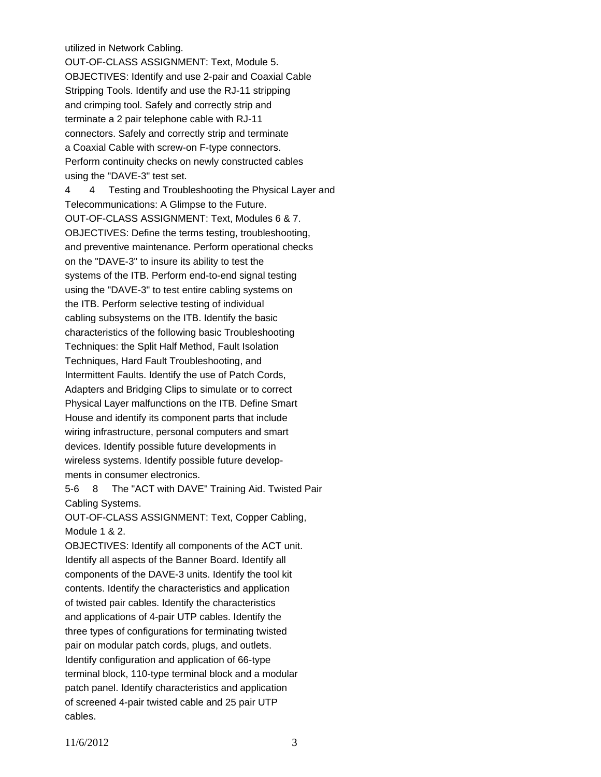### utilized in Network Cabling.

OUT-OF-CLASS ASSIGNMENT: Text, Module 5. OBJECTIVES: Identify and use 2-pair and Coaxial Cable Stripping Tools. Identify and use the RJ-11 stripping and crimping tool. Safely and correctly strip and terminate a 2 pair telephone cable with RJ-11 connectors. Safely and correctly strip and terminate a Coaxial Cable with screw-on F-type connectors. Perform continuity checks on newly constructed cables using the "DAVE-3" test set.

4 4 Testing and Troubleshooting the Physical Layer and Telecommunications: A Glimpse to the Future. OUT-OF-CLASS ASSIGNMENT: Text, Modules 6 & 7. OBJECTIVES: Define the terms testing, troubleshooting, and preventive maintenance. Perform operational checks on the "DAVE-3" to insure its ability to test the systems of the ITB. Perform end-to-end signal testing using the "DAVE-3" to test entire cabling systems on the ITB. Perform selective testing of individual cabling subsystems on the ITB. Identify the basic characteristics of the following basic Troubleshooting Techniques: the Split Half Method, Fault Isolation Techniques, Hard Fault Troubleshooting, and Intermittent Faults. Identify the use of Patch Cords, Adapters and Bridging Clips to simulate or to correct Physical Layer malfunctions on the ITB. Define Smart House and identify its component parts that include wiring infrastructure, personal computers and smart devices. Identify possible future developments in wireless systems. Identify possible future developments in consumer electronics.

5-6 8 The "ACT with DAVE" Training Aid. Twisted Pair Cabling Systems.

OUT-OF-CLASS ASSIGNMENT: Text, Copper Cabling, Module 1 & 2.

OBJECTIVES: Identify all components of the ACT unit. Identify all aspects of the Banner Board. Identify all components of the DAVE-3 units. Identify the tool kit contents. Identify the characteristics and application of twisted pair cables. Identify the characteristics and applications of 4-pair UTP cables. Identify the three types of configurations for terminating twisted pair on modular patch cords, plugs, and outlets. Identify configuration and application of 66-type terminal block, 110-type terminal block and a modular patch panel. Identify characteristics and application of screened 4-pair twisted cable and 25 pair UTP cables.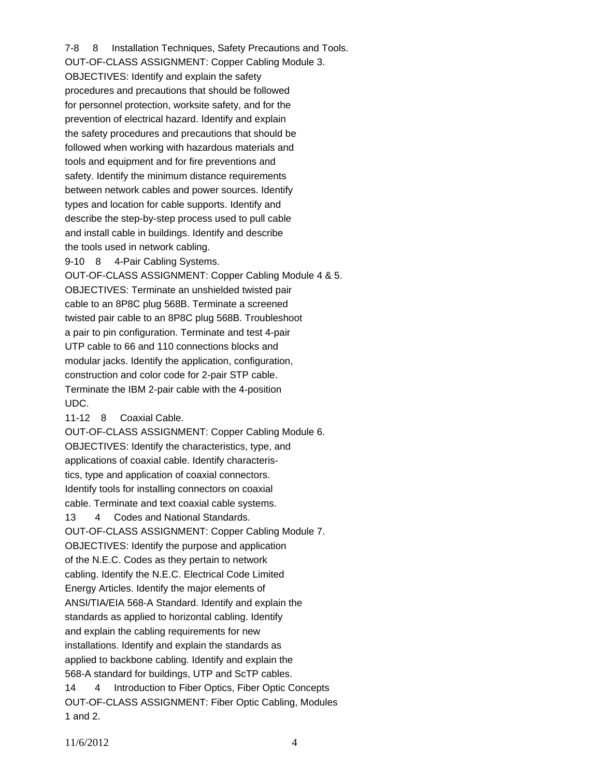7-8 8 Installation Techniques, Safety Precautions and Tools. OUT-OF-CLASS ASSIGNMENT: Copper Cabling Module 3. OBJECTIVES: Identify and explain the safety procedures and precautions that should be followed for personnel protection, worksite safety, and for the prevention of electrical hazard. Identify and explain the safety procedures and precautions that should be followed when working with hazardous materials and tools and equipment and for fire preventions and safety. Identify the minimum distance requirements between network cables and power sources. Identify types and location for cable supports. Identify and describe the step-by-step process used to pull cable and install cable in buildings. Identify and describe the tools used in network cabling.

9-10 8 4-Pair Cabling Systems.

OUT-OF-CLASS ASSIGNMENT: Copper Cabling Module 4 & 5. OBJECTIVES: Terminate an unshielded twisted pair cable to an 8P8C plug 568B. Terminate a screened twisted pair cable to an 8P8C plug 568B. Troubleshoot a pair to pin configuration. Terminate and test 4-pair UTP cable to 66 and 110 connections blocks and modular jacks. Identify the application, configuration, construction and color code for 2-pair STP cable. Terminate the IBM 2-pair cable with the 4-position UDC.

11-12 8 Coaxial Cable.

OUT-OF-CLASS ASSIGNMENT: Copper Cabling Module 6. OBJECTIVES: Identify the characteristics, type, and applications of coaxial cable. Identify characteristics, type and application of coaxial connectors. Identify tools for installing connectors on coaxial cable. Terminate and text coaxial cable systems. 13 4 Codes and National Standards. OUT-OF-CLASS ASSIGNMENT: Copper Cabling Module 7. OBJECTIVES: Identify the purpose and application of the N.E.C. Codes as they pertain to network cabling. Identify the N.E.C. Electrical Code Limited Energy Articles. Identify the major elements of ANSI/TIA/EIA 568-A Standard. Identify and explain the standards as applied to horizontal cabling. Identify and explain the cabling requirements for new installations. Identify and explain the standards as applied to backbone cabling. Identify and explain the 568-A standard for buildings, UTP and ScTP cables. 14 4 Introduction to Fiber Optics, Fiber Optic Concepts OUT-OF-CLASS ASSIGNMENT: Fiber Optic Cabling, Modules

```
1 and 2.
```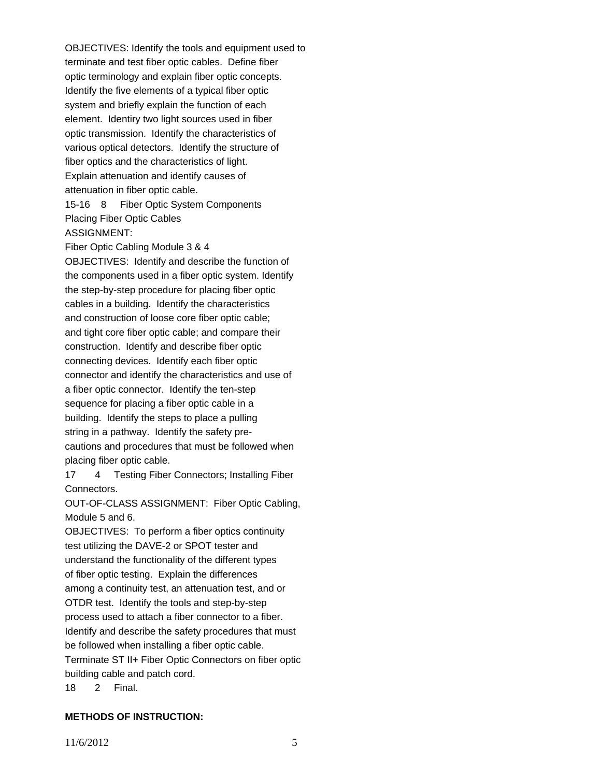OBJECTIVES: Identify the tools and equipment used to terminate and test fiber optic cables. Define fiber optic terminology and explain fiber optic concepts. Identify the five elements of a typical fiber optic system and briefly explain the function of each element. Identiry two light sources used in fiber optic transmission. Identify the characteristics of various optical detectors. Identify the structure of fiber optics and the characteristics of light. Explain attenuation and identify causes of attenuation in fiber optic cable.

15-16 8 Fiber Optic System Components Placing Fiber Optic Cables ASSIGNMENT:

Fiber Optic Cabling Module 3 & 4 OBJECTIVES: Identify and describe the function of the components used in a fiber optic system. Identify the step-by-step procedure for placing fiber optic cables in a building. Identify the characteristics and construction of loose core fiber optic cable; and tight core fiber optic cable; and compare their construction. Identify and describe fiber optic connecting devices. Identify each fiber optic connector and identify the characteristics and use of a fiber optic connector. Identify the ten-step sequence for placing a fiber optic cable in a building. Identify the steps to place a pulling string in a pathway. Identify the safety precautions and procedures that must be followed when placing fiber optic cable.

17 4 Testing Fiber Connectors; Installing Fiber Connectors.

OUT-OF-CLASS ASSIGNMENT: Fiber Optic Cabling, Module 5 and 6.

OBJECTIVES: To perform a fiber optics continuity test utilizing the DAVE-2 or SPOT tester and understand the functionality of the different types of fiber optic testing. Explain the differences among a continuity test, an attenuation test, and or OTDR test. Identify the tools and step-by-step process used to attach a fiber connector to a fiber. Identify and describe the safety procedures that must be followed when installing a fiber optic cable. Terminate ST II+ Fiber Optic Connectors on fiber optic building cable and patch cord.

18 2 Final.

# **METHODS OF INSTRUCTION:**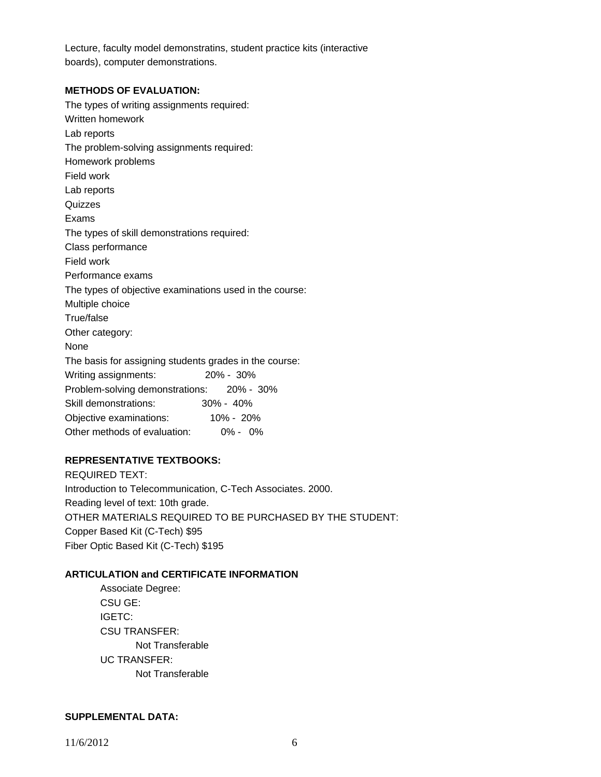Lecture, faculty model demonstratins, student practice kits (interactive boards), computer demonstrations.

### **METHODS OF EVALUATION:**

The types of writing assignments required: Written homework Lab reports The problem-solving assignments required: Homework problems Field work Lab reports **Quizzes** Exams The types of skill demonstrations required: Class performance Field work Performance exams The types of objective examinations used in the course: Multiple choice True/false Other category: None The basis for assigning students grades in the course: Writing assignments: 20% - 30% Problem-solving demonstrations: 20% - 30% Skill demonstrations: 30% - 40% Objective examinations: 10% - 20% Other methods of evaluation: 0% - 0%

# **REPRESENTATIVE TEXTBOOKS:**

REQUIRED TEXT: Introduction to Telecommunication, C-Tech Associates. 2000. Reading level of text: 10th grade. OTHER MATERIALS REQUIRED TO BE PURCHASED BY THE STUDENT: Copper Based Kit (C-Tech) \$95 Fiber Optic Based Kit (C-Tech) \$195

# **ARTICULATION and CERTIFICATE INFORMATION**

 Not Transferable UC TRANSFER: Not Transferable Associate Degree: CSU GE: IGETC: CSU TRANSFER:

## **SUPPLEMENTAL DATA:**